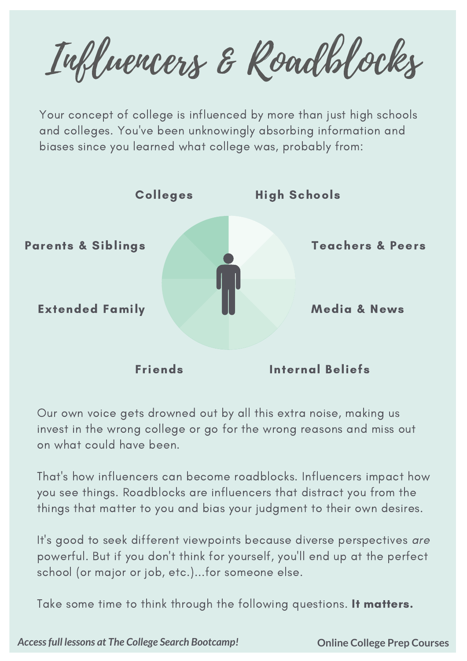Influencers & Roadblocks

Your concept of college is influenced by more than just high schools and colleges. You've been unknowingly absorbing information and biases since you learned what college was, probably from:



Our own voice gets drowned out by all this extra noise, making us invest in the wrong college or go for the wrong reasons and miss out on what could have been.

That's how influencers can become roadblocks. Influencers impact how you see things. Roadblocks are influencers that distract you from the things that matter to you and bias your judgment to their own desires.

It's good to seek different viewpoints because diverse perspectives are powerful. But if you don't think for yourself, you'll end up at the perfect school (or major or job, etc.)...for someone else.

Take some time to think through the following questions. It matters.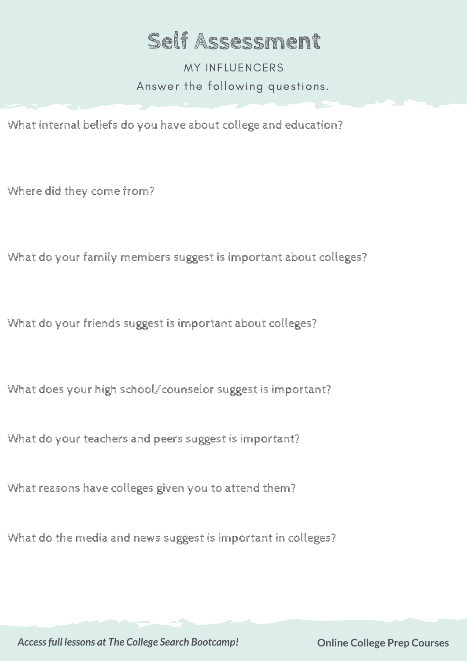## **Self Assessment**

Answer the following questions. MY INFLUENCERS

What internal beliefs do you have about college and education?

Where did they come from?

What do your family members suggest is important about colleges?

What do your friends suggest is important about colleges?

What does your high school/counselor suggest is important?

What do your teachers and peers suggest is important?

What reasons have colleges given you to attend them?

What do the media and news suggest is important in colleges?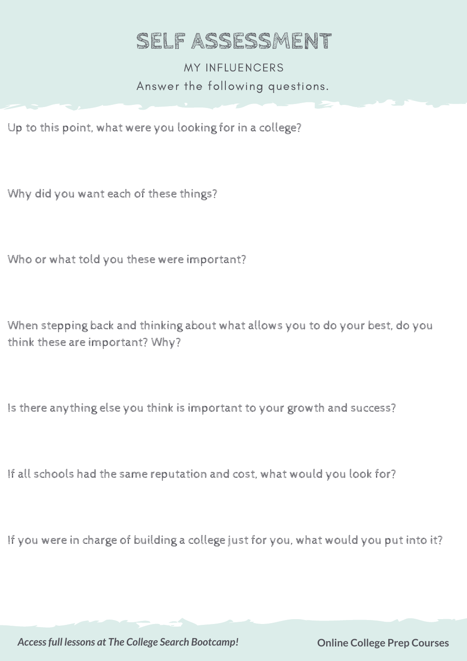## **SELF ASSESSMENT**

Answer the following questions. MY INFLUENCERS

Up to this point, what were you looking for in a college?

Why did you want each of these things?

Who or what told you these were important?

When stepping back and thinking about what allows you to do your best, do you think these are important? Why?

Is there anything else you think is important to your growth and success?

If all schools had the same reputation and cost, what would you look for?

If you were in charge of building a college just for you, what would you put into it?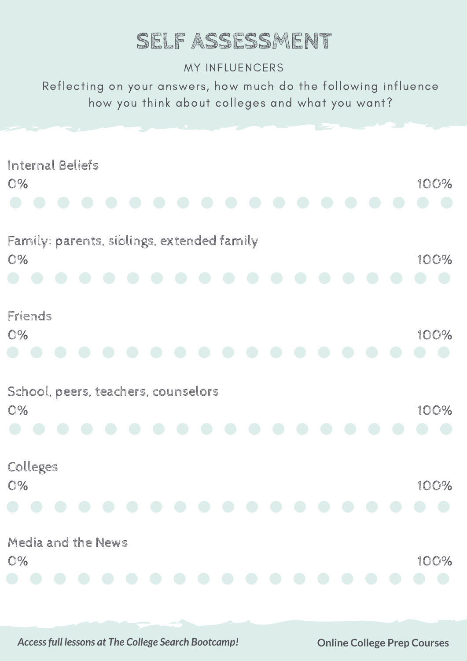# **SELF ASSESSMENT**

#### MY INFLUENCERS

Reflecting on your answers, how much do the following influence how you think about colleges and what you want?

| Internal Beliefs<br>O%                           | 100% |
|--------------------------------------------------|------|
| Family: parents, siblings, extended family<br>O% | 100% |
| Friends<br>O%                                    | 100% |
| School, peers, teachers, counselors<br>O%        | 100% |
| Colleges<br>O%<br>and the state of the state of  | 100% |
| Media and the News<br>O%                         | 100% |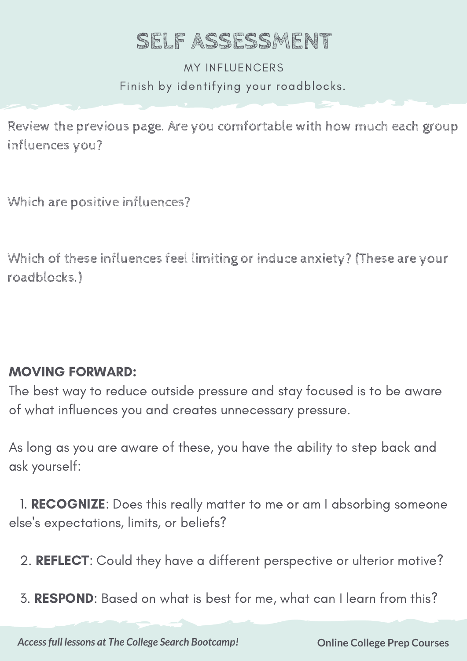# **SELF ASSESSMENT**

Finish by identifying your roadblocks. MY INFLUENCERS

Review the previous page. Are you comfortable with how much each group influences you?

Which are positive influences?

Which of these influences feel limiting or induce anxiety? (These are your roadblocks.)

### MOVING FORWARD:

The best way to reduce outside pressure and stay focused is to be aware of what influences you and creates unnecessary pressure.

As long as you are aware of these, you have the ability to step back and ask yourself:

1. RECOGNIZE: Does this really matter to me or am I absorbing someone else's expectations, limits, or beliefs?

2. REFLECT: Could they have a different perspective or ulterior motive?

3. RESPOND: Based on what is best for me, what can I learn from this?